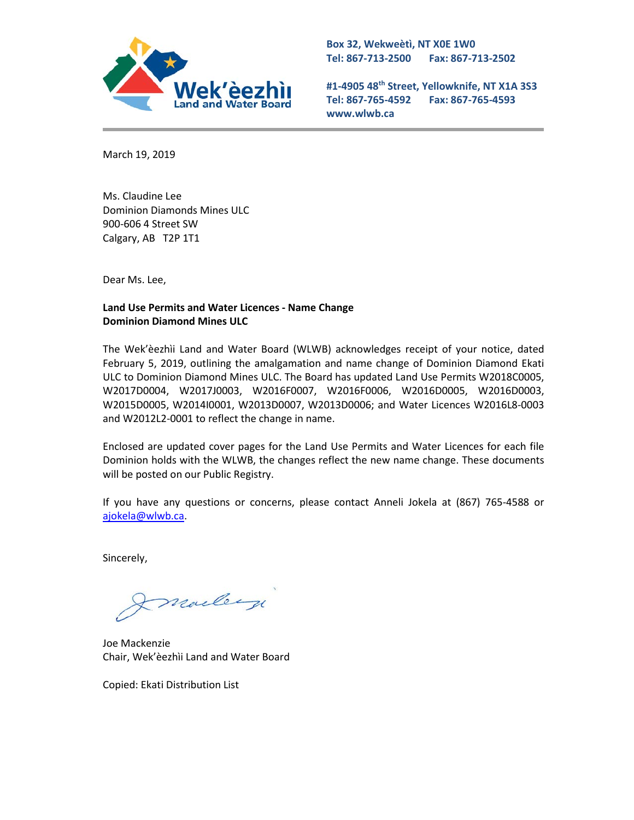

**Box 32, Wekweètì, NT X0E 1W0 Tel: 867-713-2500 Fax: 867-713-2502** 

**#1-4905 48th Street, Yellowknife, NT X1A 3S3 Tel: 867-765-4592 Fax: 867-765-4593 www.wlwb.ca**

March 19, 2019

Ms. Claudine Lee Dominion Diamonds Mines ULC 900-606 4 Street SW Calgary, AB T2P 1T1

Dear Ms. Lee,

### **Land Use Permits and Water Licences - Name Change Dominion Diamond Mines ULC**

The Wek'èezhìi Land and Water Board (WLWB) acknowledges receipt of your notice, dated February 5, 2019, outlining the amalgamation and name change of Dominion Diamond Ekati ULC to Dominion Diamond Mines ULC. The Board has updated Land Use Permits W2018C0005, W2017D0004, W2017J0003, W2016F0007, W2016F0006, W2016D0005, W2016D0003, W2015D0005, W2014I0001, W2013D0007, W2013D0006; and Water Licences W2016L8-0003 and W2012L2-0001 to reflect the change in name.

Enclosed are updated cover pages for the Land Use Permits and Water Licences for each file Dominion holds with the WLWB, the changes reflect the new name change. These documents will be posted on our Public Registry.

If you have any questions or concerns, please contact Anneli Jokela at (867) 765-4588 or [ajokela@wlwb.ca.](mailto:ajokela@wlwb.ca)

Sincerely,

mailey

Joe Mackenzie Chair, Wek'èezhìi Land and Water Board

Copied: Ekati Distribution List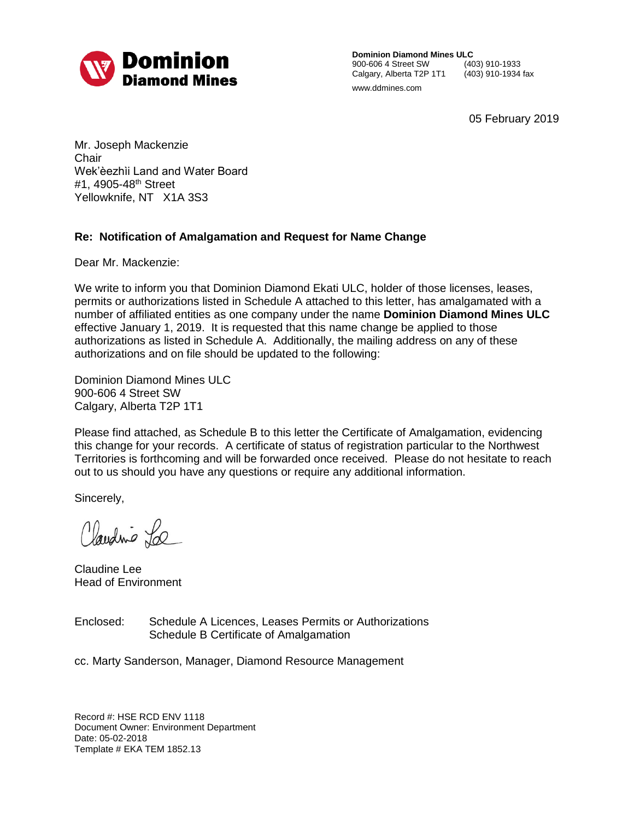

**Dominion Diamond Mines ULC**<br>900-606 4 Street SW (403) 910-1933 900-606 4 Street SW (403) 910-1933 Calgary, Alberta T2P 1T1 www.ddmines.com

05 February 2019

Mr. Joseph Mackenzie **Chair** Wek'èezhìi Land and Water Board #1, 4905-48<sup>th</sup> Street Yellowknife, NT X1A 3S3

## **Re: Notification of Amalgamation and Request for Name Change**

Dear Mr. Mackenzie:

We write to inform you that Dominion Diamond Ekati ULC, holder of those licenses, leases, permits or authorizations listed in Schedule A attached to this letter, has amalgamated with a number of affiliated entities as one company under the name **Dominion Diamond Mines ULC** effective January 1, 2019. It is requested that this name change be applied to those authorizations as listed in Schedule A. Additionally, the mailing address on any of these authorizations and on file should be updated to the following:

Dominion Diamond Mines ULC 900-606 4 Street SW Calgary, Alberta T2P 1T1

Please find attached, as Schedule B to this letter the Certificate of Amalgamation, evidencing this change for your records. A certificate of status of registration particular to the Northwest Territories is forthcoming and will be forwarded once received. Please do not hesitate to reach out to us should you have any questions or require any additional information.

Sincerely,

Claudine La

Claudine Lee Head of Environment

Enclosed: Schedule A Licences, Leases Permits or Authorizations Schedule B Certificate of Amalgamation

cc. Marty Sanderson, Manager, Diamond Resource Management

Record #: HSE RCD ENV 1118 Document Owner: Environment Department Date: 05-02-2018 Template # EKA TEM 1852.13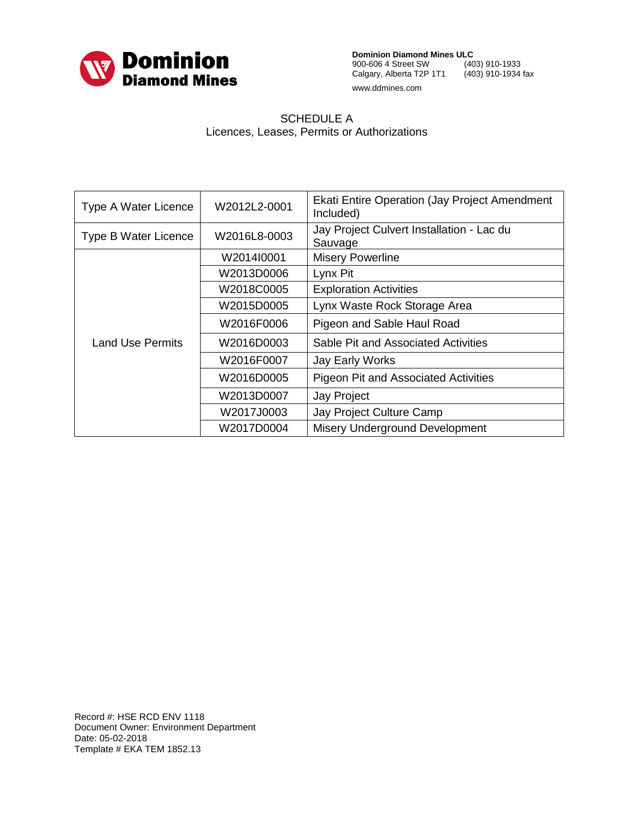

**Dominion Diamond Mines ULC**<br>900-606 4 Street SW (403) 910-1933 900-606 4 Street SW Calgary, Alberta T2P 1T1 (403) 910-1934 fax www.ddmines.com

### SCHEDULE A Licences, Leases, Permits or Authorizations

| Type A Water Licence    | W2012L2-0001 | <b>Ekati Entire Operation (Jay Project Amendment</b><br>Included) |
|-------------------------|--------------|-------------------------------------------------------------------|
| Type B Water Licence    | W2016L8-0003 | Jay Project Culvert Installation - Lac du<br>Sauvage              |
| <b>Land Use Permits</b> | W2014I0001   | <b>Misery Powerline</b>                                           |
|                         | W2013D0006   | Lynx Pit                                                          |
|                         | W2018C0005   | <b>Exploration Activities</b>                                     |
|                         | W2015D0005   | Lynx Waste Rock Storage Area                                      |
|                         | W2016F0006   | Pigeon and Sable Haul Road                                        |
|                         | W2016D0003   | Sable Pit and Associated Activities                               |
|                         | W2016F0007   | Jay Early Works                                                   |
|                         | W2016D0005   | <b>Pigeon Pit and Associated Activities</b>                       |
|                         | W2013D0007   | Jay Project                                                       |
|                         | W2017J0003   | Jay Project Culture Camp                                          |
|                         | W2017D0004   | Misery Underground Development                                    |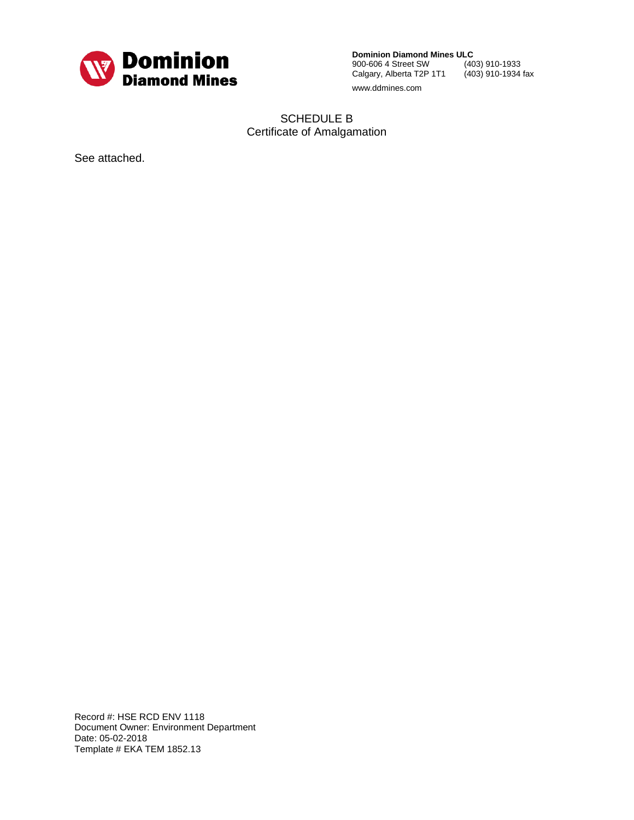

**Dominion Diamond Mines ULC**<br>900-606 4 Street SW (403) 910-1933 900-606 4 Street SW Calgary, Alberta T2P 1T1 (403) 910-1934 fax www.ddmines.com

SCHEDULE B Certificate of Amalgamation

See attached.

Record #: HSE RCD ENV 1118 Document Owner: Environment Department Date: 05-02-2018 Template # EKA TEM 1852.13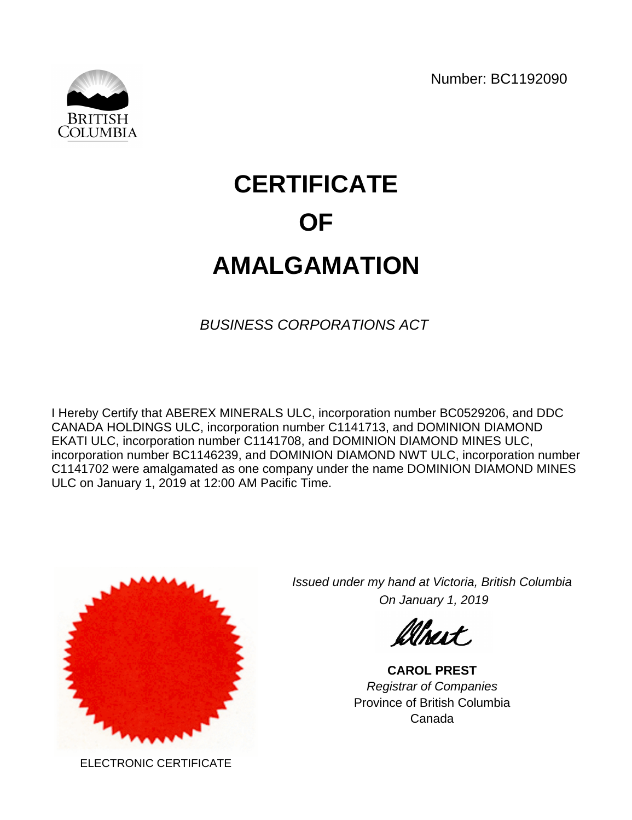Number: BC1192090



# **CERTIFICATE OF AMALGAMATION**

BUSINESS CORPORATIONS ACT

I Hereby Certify that ABEREX MINERALS ULC, incorporation number BC0529206, and DDC CANADA HOLDINGS ULC, incorporation number C1141713, and DOMINION DIAMOND EKATI ULC, incorporation number C1141708, and DOMINION DIAMOND MINES ULC, incorporation number BC1146239, and DOMINION DIAMOND NWT ULC, incorporation number C1141702 were amalgamated as one company under the name DOMINION DIAMOND MINES ULC on January 1, 2019 at 12:00 AM Pacific Time.



Issued under my hand at Victoria, British Columbia On January 1, 2019

Whart.

**CAROL PREST** Registrar of Companies Province of British Columbia Canada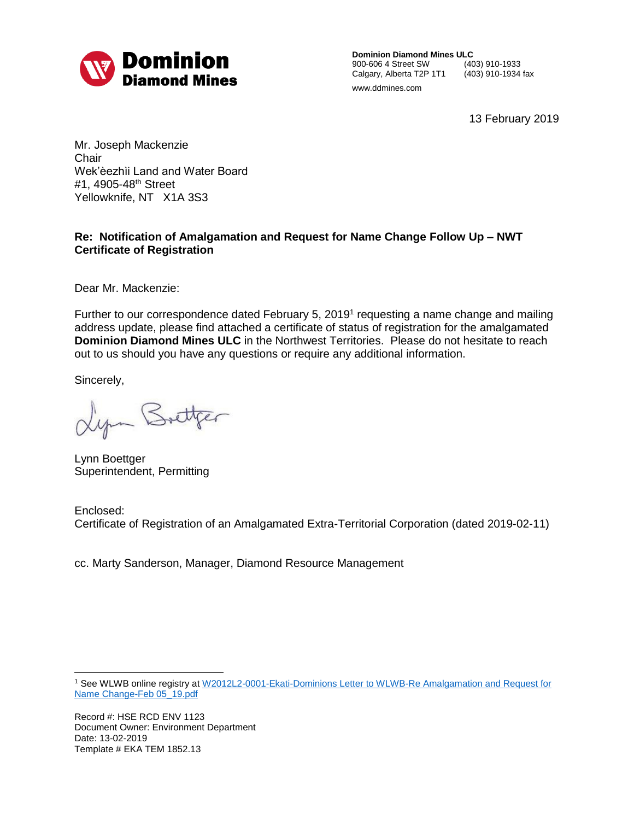

**Dominion Diamond Mines ULC**<br>900-606 4 Street SW (403) 910-1933 900-606 4 Street SW (403) 910-1933<br>Calgary, Alberta T2P 1T1 (403) 910-1934 fax Calgary, Alberta T2P 1T1 www.ddmines.com

13 February 2019

Mr. Joseph Mackenzie **Chair** Wek'èezhìi Land and Water Board #1, 4905-48<sup>th</sup> Street Yellowknife, NT X1A 3S3

### **Re: Notification of Amalgamation and Request for Name Change Follow Up – NWT Certificate of Registration**

Dear Mr. Mackenzie:

Further to our correspondence dated February 5, 2019<sup>1</sup> requesting a name change and mailing address update, please find attached a certificate of status of registration for the amalgamated **Dominion Diamond Mines ULC** in the Northwest Territories. Please do not hesitate to reach out to us should you have any questions or require any additional information.

Sincerely,

Lyn Bottger

Lynn Boettger Superintendent, Permitting

Enclosed: Certificate of Registration of an Amalgamated Extra-Territorial Corporation (dated 2019-02-11)

cc. Marty Sanderson, Manager, Diamond Resource Management

 $\overline{a}$ <sup>1</sup> See WLWB online registry at [W2012L2-0001-Ekati-Dominions Letter to WLWB-Re Amalgamation and Request for](http://registry.mvlwb.ca/Documents/W2012L2-0001/W2012L2-0001%20-%20Ekati%20-%20Dominions%20Letter%20to%20WLWB%20-%20Re%20Amalgamation%20and%20Request%20for%20Name%20Change%20-%20Feb%205_19.pdf)  [Name Change-Feb 05\\_19.pdf](http://registry.mvlwb.ca/Documents/W2012L2-0001/W2012L2-0001%20-%20Ekati%20-%20Dominions%20Letter%20to%20WLWB%20-%20Re%20Amalgamation%20and%20Request%20for%20Name%20Change%20-%20Feb%205_19.pdf)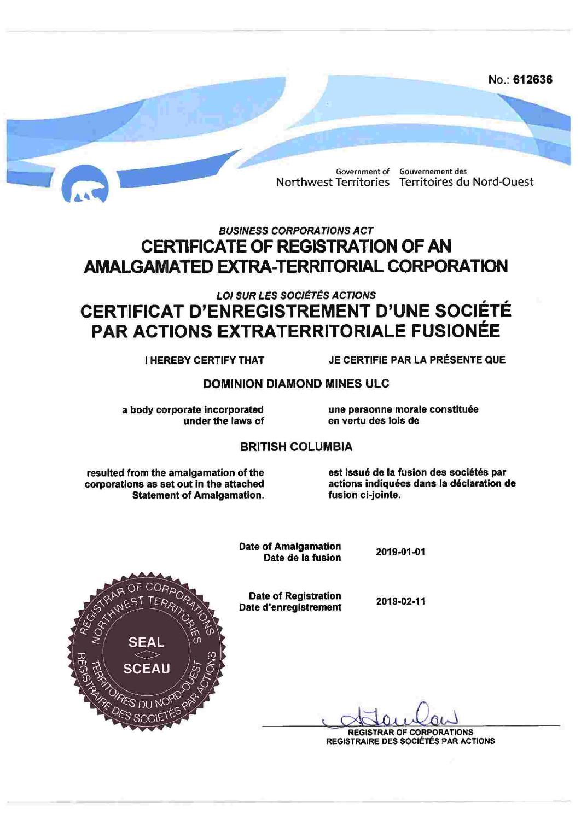

# **BUSINESS CORPORATIONS ACT CERTIFICATE OF REGISTRATION OF AN AMALGAMATED EXTRA-TERRITORIAL CORPORATION**

# **LOI SUR LES SOCIÉTÉS ACTIONS CERTIFICAT D'ENREGISTREMENT D'UNE SOCIÉTÉ** PAR ACTIONS EXTRATERRITORIALE FUSIONÉE

**I HEREBY CERTIFY THAT** 

JE CERTIFIE PAR LA PRÉSENTE QUE

## **DOMINION DIAMOND MINES ULC**

a body corporate incorporated under the laws of une personne morale constituée en vertu des lois de

### **BRITISH COLUMBIA**

resulted from the amalgamation of the corporations as set out in the attached **Statement of Amalgamation.** 

est issué de la fusion des sociétés par actions indiquées dans la déclaration de fusion ci-jointe.

**Date of Amalgamation** Date de la fusion

2019-01-01

**Date of Registration** Date d'enregistrement

2019-02-11



**REGISTRAR OF CORPORATIONS** 

**REGISTRAIRE DES SOCIÉTÉS PAR ACTIONS**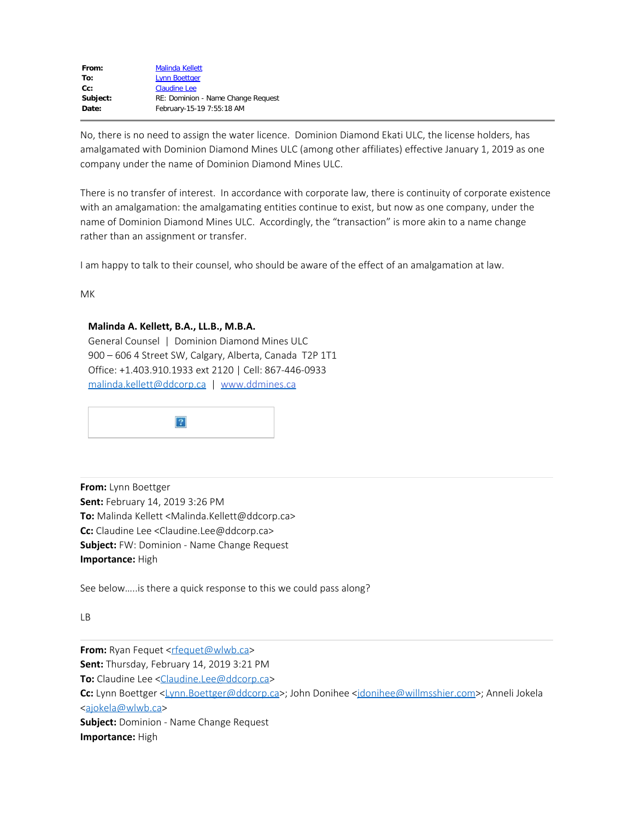| <b>Malinda Kellett</b>             |  |
|------------------------------------|--|
| <b>Lynn Boettger</b>               |  |
| <b>Claudine Lee</b>                |  |
| RE: Dominion - Name Change Request |  |
| February-15-19 7:55:18 AM          |  |
|                                    |  |

No, there is no need to assign the water licence. Dominion Diamond Ekati ULC, the license holders, has amalgamated with Dominion Diamond Mines ULC (among other affiliates) effective January 1, 2019 as one company under the name of Dominion Diamond Mines ULC.

There is no transfer of interest. In accordance with corporate law, there is continuity of corporate existence with an amalgamation: the amalgamating entities continue to exist, but now as one company, under the name of Dominion Diamond Mines ULC. Accordingly, the "transaction" is more akin to a name change rather than an assignment or transfer.

I am happy to talk to their counsel, who should be aware of the effect of an amalgamation at law.

MK

#### **Malinda A. Kellett, B.A., LL.B., M.B.A.**

General Counsel | Dominion Diamond Mines ULC 900 – 606 4 Street SW, Calgary, Alberta, Canada T2P 1T1 Office: +1.403.910.1933 ext 2120 | Cell: 867-446-0933 [malinda.kellett@ddcorp.ca](mailto:malinda.kellett@ddcorp.ca) | [www.ddmines.ca](https://can01.safelinks.protection.outlook.com/?url=http%3A%2F%2Fwww.ddmines.ca%2F&data=02%7C01%7CLynn.Boettger%40ddcorp.ca%7C41acb3af11b84a887fc508d693559939%7Ceb6351d9f5ac4cfe96521cf9b53f69f0%7C0%7C0%7C636858393191683797&sdata=Ov%2Fu9SMdn55dlIGtOiMzNKmEuDoTlM7ggP2Nvtji1ls%3D&reserved=0)



**From:** Lynn Boettger **Sent:** February 14, 2019 3:26 PM **To:** Malinda Kellett <Malinda.Kellett@ddcorp.ca> **Cc:** Claudine Lee <Claudine.Lee@ddcorp.ca> **Subject:** FW: Dominion - Name Change Request **Importance:** High

See below…..is there a quick response to this we could pass along?

LB

**From:** Ryan Fequet <rtequet@wlwb.ca> **Sent:** Thursday, February 14, 2019 3:21 PM **To:** Claudine Lee [<Claudine.Lee@ddcorp.ca](mailto:Claudine.Lee@ddcorp.ca)> **Cc:** Lynn Boettger [<Lynn.Boettger@ddcorp.ca](mailto:Lynn.Boettger@ddcorp.ca)>; John Donihee [<jdonihee@willmsshier.com](mailto:jdonihee@willmsshier.com)>; Anneli Jokela [<ajokela@wlwb.ca](mailto:ajokela@wlwb.ca)> **Subject:** Dominion - Name Change Request **Importance:** High